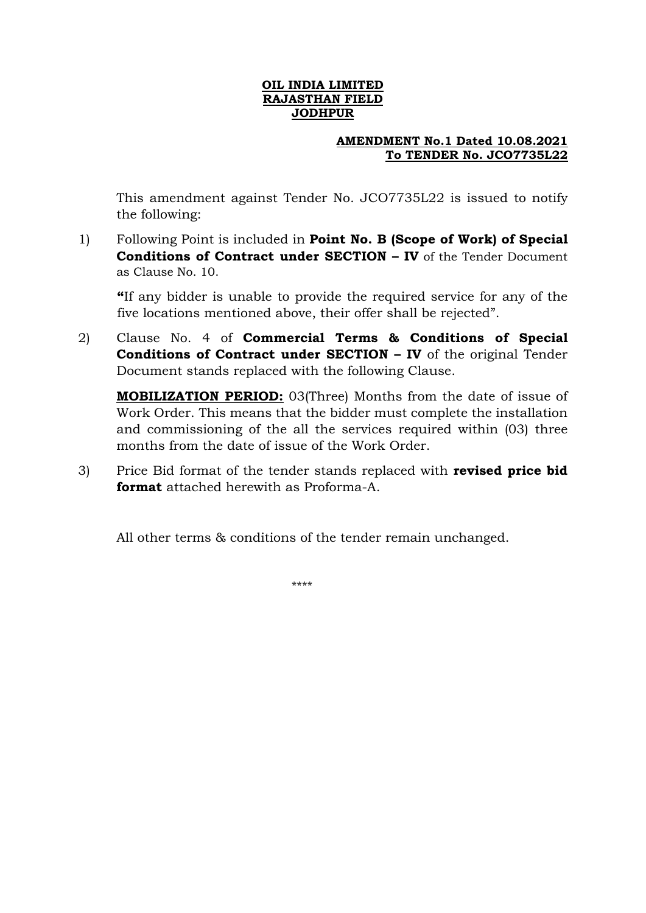## **OIL INDIA LIMITED RAJASTHAN FIELD JODHPUR**

## **AMENDMENT No.1 Dated 10.08.2021 To TENDER No. JCO7735L22**

This amendment against Tender No. JCO7735L22 is issued to notify the following:

1) Following Point is included in **Point No. B (Scope of Work) of Special Conditions of Contract under SECTION – IV** of the Tender Document as Clause No. 10.

**"**If any bidder is unable to provide the required service for any of the five locations mentioned above, their offer shall be rejected".

2) Clause No. 4 of **Commercial Terms & Conditions of Special Conditions of Contract under SECTION – IV** of the original Tender Document stands replaced with the following Clause.

**MOBILIZATION PERIOD:** 03(Three) Months from the date of issue of Work Order. This means that the bidder must complete the installation and commissioning of the all the services required within (03) three months from the date of issue of the Work Order.

3) Price Bid format of the tender stands replaced with **revised price bid format** attached herewith as Proforma-A.

All other terms & conditions of the tender remain unchanged.

\*\*\*\*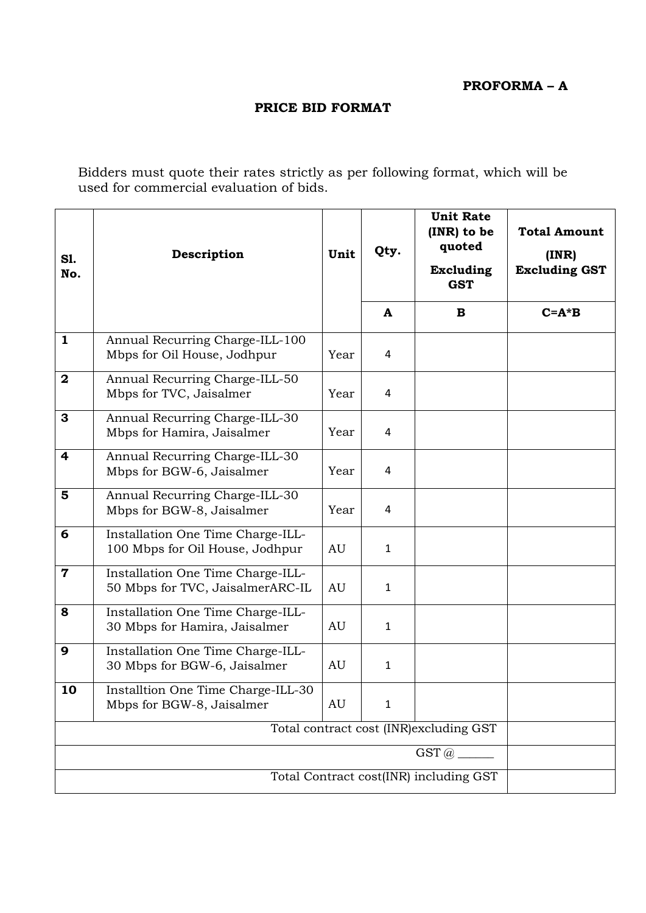**PROFORMA – A**

## **PRICE BID FORMAT**

Bidders must quote their rates strictly as per following format, which will be used for commercial evaluation of bids.

| <b>S1.</b><br>No.       | Description                                                           | Unit | Qty.         | <b>Unit Rate</b><br>(INR) to be<br>quoted<br><b>Excluding</b><br><b>GST</b> | <b>Total Amount</b><br>(INR)<br><b>Excluding GST</b> |
|-------------------------|-----------------------------------------------------------------------|------|--------------|-----------------------------------------------------------------------------|------------------------------------------------------|
|                         |                                                                       |      | A            | B                                                                           | $C = A * B$                                          |
| $\mathbf{1}$            | Annual Recurring Charge-ILL-100<br>Mbps for Oil House, Jodhpur        | Year | 4            |                                                                             |                                                      |
| $\boldsymbol{2}$        | Annual Recurring Charge-ILL-50<br>Mbps for TVC, Jaisalmer             | Year | 4            |                                                                             |                                                      |
| 3                       | Annual Recurring Charge-ILL-30<br>Mbps for Hamira, Jaisalmer          | Year | 4            |                                                                             |                                                      |
| $\overline{\mathbf{4}}$ | Annual Recurring Charge-ILL-30<br>Mbps for BGW-6, Jaisalmer           | Year | 4            |                                                                             |                                                      |
| 5                       | Annual Recurring Charge-ILL-30<br>Mbps for BGW-8, Jaisalmer           | Year | 4            |                                                                             |                                                      |
| 6                       | Installation One Time Charge-ILL-<br>100 Mbps for Oil House, Jodhpur  | AU   | 1            |                                                                             |                                                      |
| $\mathbf 7$             | Installation One Time Charge-ILL-<br>50 Mbps for TVC, JaisalmerARC-IL | AU   | $\mathbf{1}$ |                                                                             |                                                      |
| 8                       | Installation One Time Charge-ILL-<br>30 Mbps for Hamira, Jaisalmer    | AU   | $\mathbf{1}$ |                                                                             |                                                      |
| 9                       | Installation One Time Charge-ILL-<br>30 Mbps for BGW-6, Jaisalmer     | AU   | $\mathbf{1}$ |                                                                             |                                                      |
| 10                      | Installtion One Time Charge-ILL-30<br>Mbps for BGW-8, Jaisalmer       | AU   | 1            |                                                                             |                                                      |
|                         |                                                                       |      |              |                                                                             |                                                      |
|                         |                                                                       |      |              |                                                                             |                                                      |
|                         |                                                                       |      |              |                                                                             |                                                      |